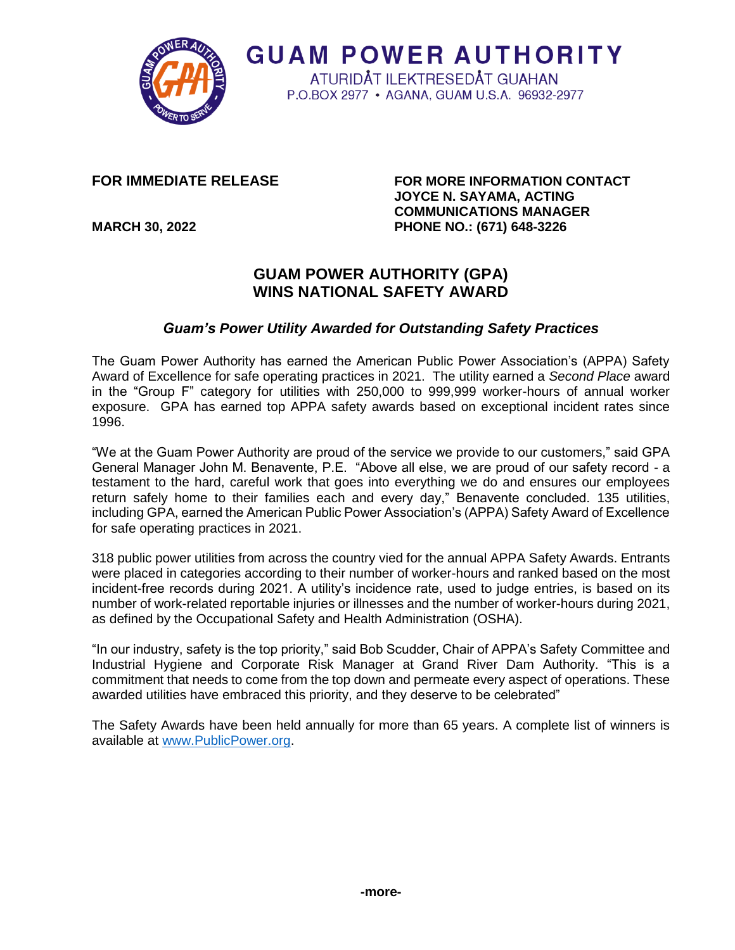

**GUAM POWER AUTHORITY** ATURIDÅT ILEKTRESEDÅT GUAHAN P.O.BOX 2977 • AGANA, GUAM U.S.A. 96932-2977

**FOR IMMEDIATE RELEASE FOR MORE INFORMATION CONTACT JOYCE N. SAYAMA, ACTING COMMUNICATIONS MANAGER MARCH 30, 2022 PHONE NO.: (671) 648-3226**

### **GUAM POWER AUTHORITY (GPA) WINS NATIONAL SAFETY AWARD**

### *Guam's Power Utility Awarded for Outstanding Safety Practices*

The Guam Power Authority has earned the American Public Power Association's (APPA) Safety Award of Excellence for safe operating practices in 2021. The utility earned a *Second Place* award in the "Group F" category for utilities with 250,000 to 999,999 worker-hours of annual worker exposure. GPA has earned top APPA safety awards based on exceptional incident rates since 1996.

"We at the Guam Power Authority are proud of the service we provide to our customers," said GPA General Manager John M. Benavente, P.E. "Above all else, we are proud of our safety record - a testament to the hard, careful work that goes into everything we do and ensures our employees return safely home to their families each and every day," Benavente concluded. 135 utilities, including GPA, earned the American Public Power Association's (APPA) Safety Award of Excellence for safe operating practices in 2021.

318 public power utilities from across the country vied for the annual APPA Safety Awards. Entrants were placed in categories according to their number of worker-hours and ranked based on the most incident-free records during 2021. A utility's incidence rate, used to judge entries, is based on its number of work-related reportable injuries or illnesses and the number of worker-hours during 2021, as defined by the Occupational Safety and Health Administration (OSHA).

"In our industry, safety is the top priority," said Bob Scudder, Chair of APPA's Safety Committee and Industrial Hygiene and Corporate Risk Manager at Grand River Dam Authority. "This is a commitment that needs to come from the top down and permeate every aspect of operations. These awarded utilities have embraced this priority, and they deserve to be celebrated"

The Safety Awards have been held annually for more than 65 years. A complete list of winners is available at [www.PublicPower.org.](http://www.publicpower.org/)